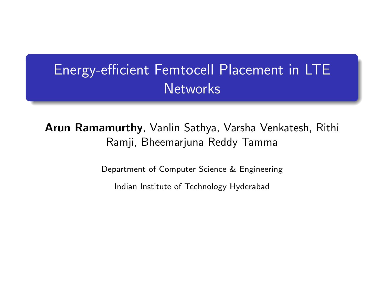## <span id="page-0-0"></span>Energy-efficient Femtocell Placement in LTE **Networks**

Arun Ramamurthy, Vanlin Sathya, Varsha Venkatesh, Rithi Ramji, Bheemarjuna Reddy Tamma

Department of Computer Science & Engineering

Indian Institute of Technology Hyderabad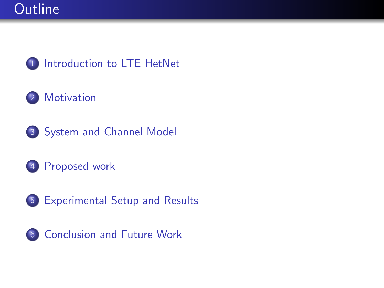

#### [Motivation](#page-3-0)

- [System and Channel Model](#page-4-0)
- [Proposed work](#page-6-0)
- [Experimental Setup and Results](#page-15-0)
- [Conclusion and Future Work](#page-21-0)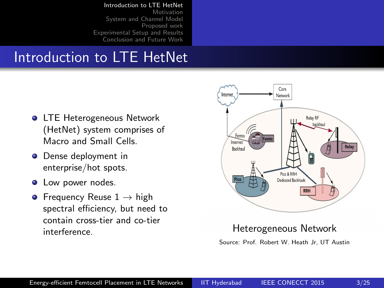#### [Introduction to LTE HetNet](#page-2-0)

[Motivation](#page-3-0) [System and Channel Model](#page-4-0) [Proposed work](#page-6-0) [Experimental Setup and Results](#page-15-0) [Conclusion and Future Work](#page-21-0)

#### <span id="page-2-0"></span>Introduction to LTE HetNet

- **O** LTE Heterogeneous Network (HetNet) system comprises of Macro and Small Cells.
- **O** Dense deployment in enterprise/hot spots.
- Low power nodes.  $\bullet$
- Frequency Reuse  $1 \rightarrow$  high spectral efficiency, but need to contain cross-tier and co-tier interference. Heterogeneous Network



Source: Prof. Robert W. Heath Jr, UT Austin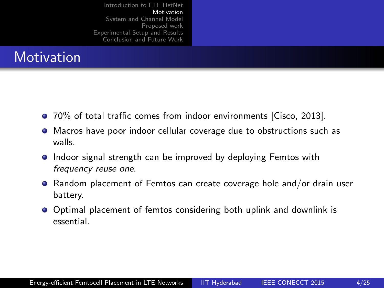#### <span id="page-3-0"></span>**Motivation**

- 70% of total traffic comes from indoor environments [Cisco, 2013].
- Macros have poor indoor cellular coverage due to obstructions such as walls.
- **Indoor signal strength can be improved by deploying Femtos with** frequency reuse one.
- Random placement of Femtos can create coverage hole and/or drain user battery.
- Optimal placement of femtos considering both uplink and downlink is essential.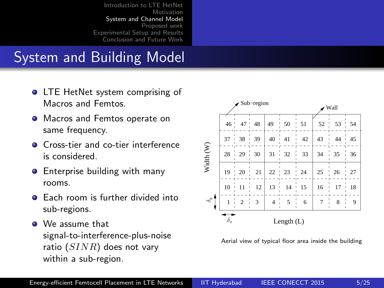#### <span id="page-4-0"></span>System and Building Model

- **O** LTE HetNet system comprising of Macros and Femtos.
- **•** Macros and Femtos operate on same frequency.
- **O** Cross-tier and co-tier interference is considered.
- Enterprise building with many  $\bullet$ rooms.
- **•** Each room is further divided into sub-regions.
- We assume that signal-to-interference-plus-noise ratio  $(SINR)$  does not vary within a sub-region.



Aerial view of typical floor area inside the building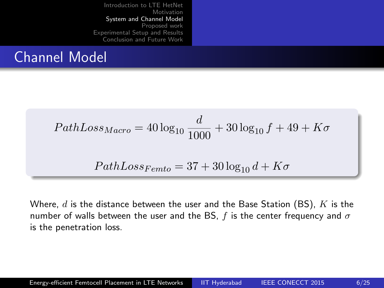#### Channel Model

$$
PathLoss_{Macro} = 40 \log_{10} \frac{d}{1000} + 30 \log_{10} f + 49 + K\sigma
$$

$$
PathLoss_{Femto} = 37 + 30 \log_{10} d + K\sigma
$$

Where,  $d$  is the distance between the user and the Base Station (BS),  $K$  is the number of walls between the user and the BS,  $f$  is the center frequency and  $\sigma$ is the penetration loss.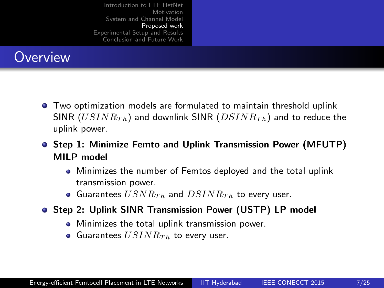#### <span id="page-6-0"></span>**Overview**

- Two optimization models are formulated to maintain threshold uplink SINR ( $USINR_{Th}$ ) and downlink SINR ( $DSINR_{Th}$ ) and to reduce the uplink power.
- **•** Step 1: Minimize Femto and Uplink Transmission Power (MFUTP) MILP model
	- Minimizes the number of Femtos deployed and the total uplink transmission power.
	- Guarantees  $USNR_{Th}$  and  $DSINR_{Th}$  to every user.
- **Step 2: Uplink SINR Transmission Power (USTP) LP model** 
	- **•** Minimizes the total uplink transmission power.
	- Guarantees  $USINR_{Th}$  to every user.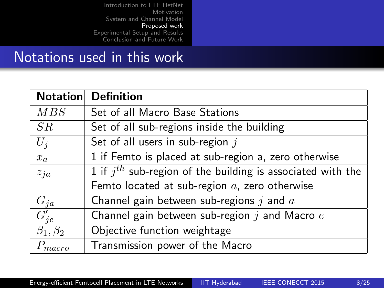#### Notations used in this work

|                    | <b>Notation</b> Definition                                      |  |
|--------------------|-----------------------------------------------------------------|--|
| MBS                | Set of all Macro Base Stations                                  |  |
| SR                 | Set of all sub-regions inside the building                      |  |
| $U_i$              | Set of all users in sub-region $j$                              |  |
| $x_a$              | 1 if Femto is placed at sub-region a, zero otherwise            |  |
| $z_{ja}$           | 1 if $j^{th}$ sub-region of the building is associated with the |  |
|                    | Femto located at sub-region $a$ , zero otherwise                |  |
| $G_{ja}$           | Channel gain between sub-regions $j$ and $a$                    |  |
| $G'_{ie}$          | Channel gain between sub-region $j$ and Macro $e$               |  |
| $\beta_1, \beta_2$ | Objective function weightage                                    |  |
| $P_{macro}$        | Transmission power of the Macro                                 |  |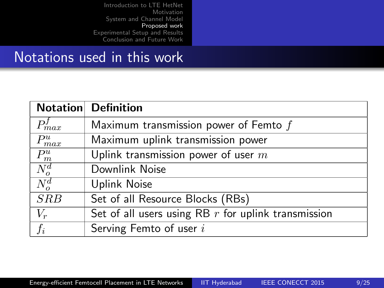#### Notations used in this work

|                    | <b>Notation</b> Definition                            |
|--------------------|-------------------------------------------------------|
| $\tilde{m}$ ax     | Maximum transmission power of Femto $f$               |
| $P_{max}^u$        | Maximum uplink transmission power                     |
| $P_m^u$            | Uplink transmission power of user $m$                 |
| $\overline{N}^d_o$ | Downlink Noise                                        |
| $N^d_o$            | <b>Uplink Noise</b>                                   |
| SRB                | Set of all Resource Blocks (RBs)                      |
| $V_r$              | Set of all users using RB $r$ for uplink transmission |
| $f_i$              | Serving Femto of user i                               |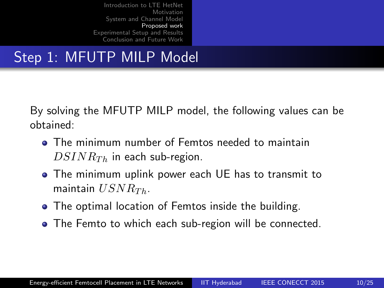## Step 1: MFUTP MILP Model

By solving the MFUTP MILP model, the following values can be obtained:

- **The minimum number of Femtos needed to maintain**  $DSINR_{Th}$  in each sub-region.
- The minimum uplink power each UE has to transmit to maintain  $USNR_{Th}$ .
- The optimal location of Femtos inside the building.
- The Femto to which each sub-region will be connected.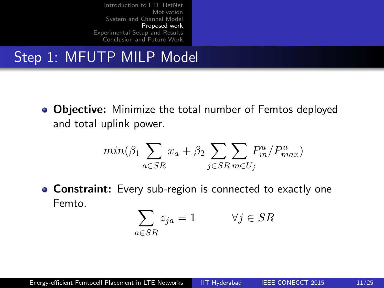## Step 1: MFUTP MILP Model

• Objective: Minimize the total number of Femtos deployed and total uplink power.

$$
min(\beta_1\sum_{a \in SR} x_a + \beta_2\sum_{j \in SR} \sum_{m \in U_j} P^u_m/P^u_{max})
$$

**Constraint:** Every sub-region is connected to exactly one Femto.

$$
\sum_{a \in SR} z_{ja} = 1 \qquad \forall j \in SR
$$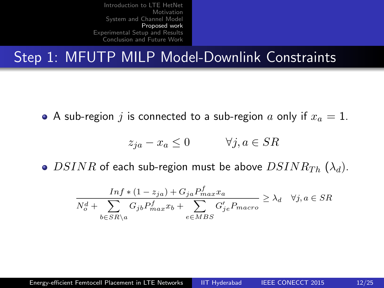#### Step 1: MFUTP MILP Model-Downlink Constraints

• A sub-region j is connected to a sub-region a only if  $x_a = 1$ .

$$
z_{ja} - x_a \le 0 \qquad \forall j, a \in SR
$$

• DSINR of each sub-region must be above  $DSINR_{Th}(\lambda_d)$ .

$$
\frac{\operatorname{Inf}*(1-z_{ja}) + G_{ja}P_{max}^f x_a}{N_o^d + \sum_{b \in SR\backslash a} G_{jb}P_{max}^f x_b + \sum_{e \in MBS} G'_{je}P_{macro}} \ge \lambda_d \quad \forall j, a \in SR
$$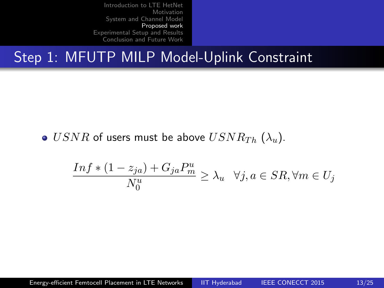#### Step 1: MFUTP MILP Model-Uplink Constraint

•  $USNR$  of users must be above  $USNR_{Th}(\lambda_u)$ .

$$
\frac{Inf * (1 - z_{ja}) + G_{ja}P_m^u}{N_0^u} \ge \lambda_u \quad \forall j, a \in SR, \forall m \in U_j
$$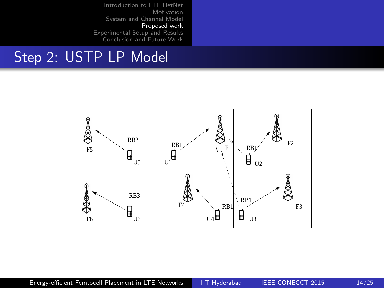#### Step 2: USTP LP Model

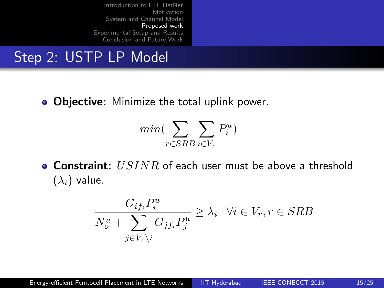#### Step 2: USTP LP Model

• Objective: Minimize the total uplink power.

$$
min(\sum_{r \in SRB} \sum_{i \in V_r} P_i^u)
$$

**Constraint:**  $USINR$  of each user must be above a threshold  $(\lambda_i)$  value.

$$
\frac{G_{if_i}P_i^u}{N_o^u + \sum_{j \in V_r \backslash i} G_{jf_i}P_j^u} \ge \lambda_i \quad \forall i \in V_r, r \in SRB
$$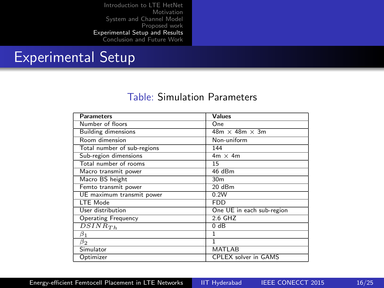#### <span id="page-15-0"></span>Experimental Setup

#### Table: Simulation Parameters

| <b>Parameters</b>           | <b>Values</b>               |
|-----------------------------|-----------------------------|
| Number of floors            | One                         |
| <b>Building dimensions</b>  | $48m \times 48m \times 3m$  |
| Room dimension              | Non-uniform                 |
| Total number of sub-regions | 144                         |
| Sub-region dimensions       | $4m \times 4m$              |
| Total number of rooms       | 15                          |
| Macro transmit power        | 46 dBm                      |
| Macro BS height             | 30 <sub>m</sub>             |
| Femto transmit power        | 20 dBm                      |
| UE maximum transmit power   | 0.2W                        |
| LTE Mode                    | <b>FDD</b>                  |
| User distribution           | One UE in each sub-region   |
| <b>Operating Frequency</b>  | 2.6 GHZ                     |
| $\overline{DSINR}_{Th}$     | 0 dB                        |
| $\beta_1$                   | 1                           |
| $\beta_2$                   | ī                           |
| Simulator                   | MATLAB                      |
| Optimizer                   | <b>CPLEX</b> solver in GAMS |

[Energy-efficient Femtocell Placement in LTE Networks](#page-0-0) | IIT Hyderabad IEEE CONECCT 2015 16/25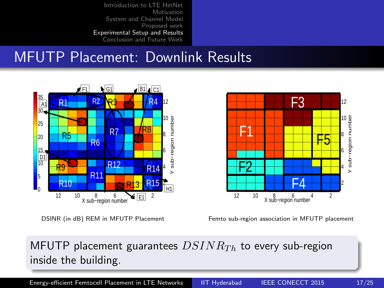#### MFUTP Placement: Downlink Results



DSINR (in dB) REM in MFUTP Placement

12 10 8 6 4 2<br>X sub−region number Femto sub-region association in MFUTP placement

 $53\%$ 

 $\pm 4$ 

#### MFUTP placement guarantees  $DSINR_{Th}$  to every sub-region inside the building.

[Energy-efficient Femtocell Placement in LTE Networks](#page-0-0) | IIT Hyderabad IEEE CONECCT 2015 17/25

F1

F2 S

Y sub−region number

<u>H5H</u>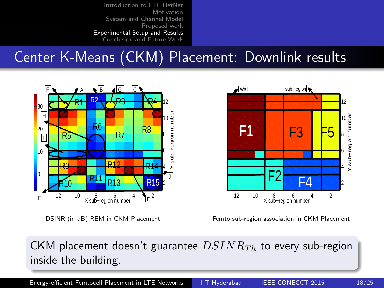#### Center K-Means (CKM) Placement: Downlink results



DSINR (in dB) REM in CKM Placement



Femto sub-region association in CKM Placement

#### CKM placement doesn't guarantee  $DSINR_{Th}$  to every sub-region inside the building.

[Energy-efficient Femtocell Placement in LTE Networks](#page-0-0) IIT Hyderabad IEEE CONECCT 2015 18/25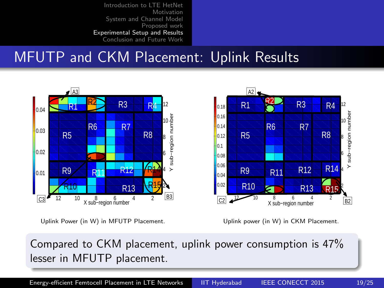#### MFUTP and CKM Placement: Uplink Results



Uplink power (in W) in CKM Placement.

Compared to CKM placement, uplink power consumption is 47% lesser in MFUTP placement.

[Energy-efficient Femtocell Placement in LTE Networks](#page-0-0) | IIT Hyderabad IEEE CONECCT 2015 19/25

Y sub−region number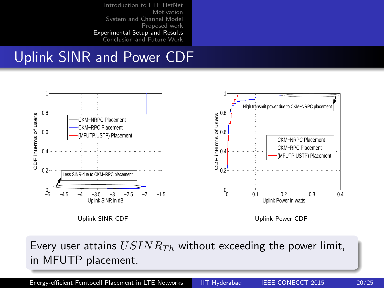#### Uplink SINR and Power CDF



Every user attains  $USINR_{Th}$  without exceeding the power limit, in MFUTP placement.

[Energy-efficient Femtocell Placement in LTE Networks](#page-0-0) | IIT Hyderabad IEEE CONECCT 2015 20/25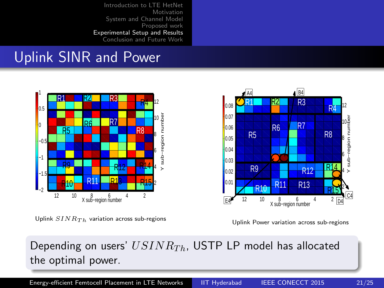#### Uplink SINR and Power



Uplink  $SINR_{Th}$  variation across sub-regions



Uplink Power variation across sub-regions

#### Depending on users'  $USINR_{Th}$ , USTP LP model has allocated the optimal power.

[Energy-efficient Femtocell Placement in LTE Networks](#page-0-0) | IIT Hyderabad IEEE CONECCT 2015 21/25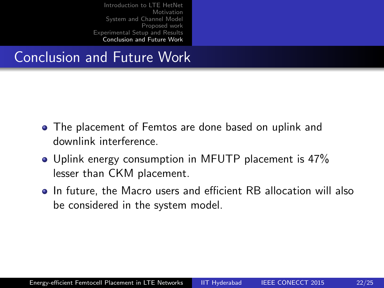#### <span id="page-21-0"></span>Conclusion and Future Work

- The placement of Femtos are done based on uplink and downlink interference.
- Uplink energy consumption in MFUTP placement is 47% lesser than CKM placement.
- In future, the Macro users and efficient RB allocation will also be considered in the system model.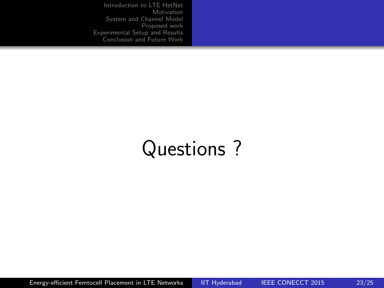# Questions ?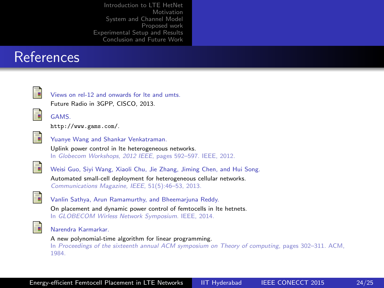#### References



Views on rel-12 and onwards for lte and umts. Future Radio in 3GPP, CISCO, 2013.



GAMS. [http://www.gams.com/]( http://www.gams.com/).



Yuanye Wang and Shankar Venkatraman.

Uplink power control in lte heterogeneous networks. In Globecom Workshops, 2012 IEEE, pages 592–597. IEEE, 2012.



Weisi Guo, Siyi Wang, Xiaoli Chu, Jie Zhang, Jiming Chen, and Hui Song. Automated small-cell deployment for heterogeneous cellular networks. Communications Magazine, IEEE, 51(5):46–53, 2013.



Vanlin Sathya, Arun Ramamurthy, and Bheemarjuna Reddy.

On placement and dynamic power control of femtocells in lte hetnets. In GLOBECOM Wirless Network Symposium. IEEE, 2014.



Narendra Karmarkar.

A new polynomial-time algorithm for linear programming. In Proceedings of the sixteenth annual ACM symposium on Theory of computing, pages 302–311. ACM, 1984.